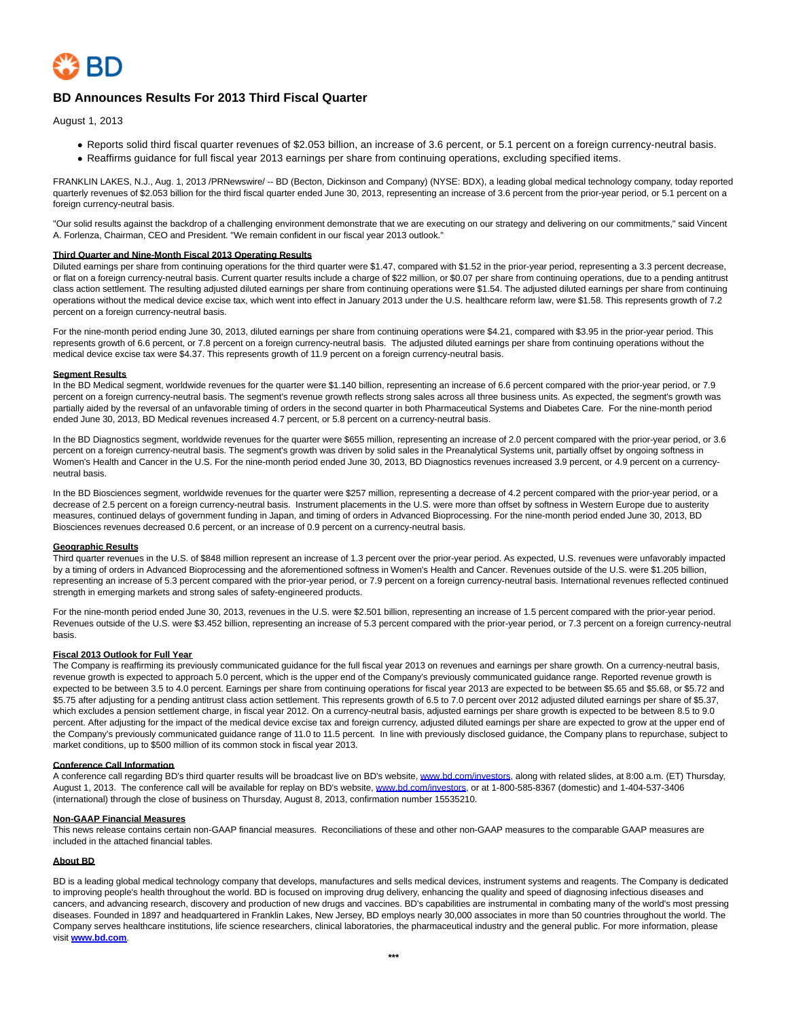

# **BD Announces Results For 2013 Third Fiscal Quarter**

August 1, 2013

- Reports solid third fiscal quarter revenues of \$2.053 billion, an increase of 3.6 percent, or 5.1 percent on a foreign currency-neutral basis.
- Reaffirms guidance for full fiscal year 2013 earnings per share from continuing operations, excluding specified items.

FRANKLIN LAKES, N.J., Aug. 1, 2013 /PRNewswire/ -- BD (Becton, Dickinson and Company) (NYSE: BDX), a leading global medical technology company, today reported quarterly revenues of \$2.053 billion for the third fiscal quarter ended June 30, 2013, representing an increase of 3.6 percent from the prior-year period, or 5.1 percent on a foreign currency-neutral basis.

"Our solid results against the backdrop of a challenging environment demonstrate that we are executing on our strategy and delivering on our commitments," said Vincent A. Forlenza, Chairman, CEO and President. "We remain confident in our fiscal year 2013 outlook."

# **Third Quarter and Nine-Month Fiscal 2013 Operating Results**

Diluted earnings per share from continuing operations for the third quarter were \$1.47, compared with \$1.52 in the prior-year period, representing a 3.3 percent decrease, or flat on a foreign currency-neutral basis. Current quarter results include a charge of \$22 million, or \$0.07 per share from continuing operations, due to a pending antitrust class action settlement. The resulting adjusted diluted earnings per share from continuing operations were \$1.54. The adjusted diluted earnings per share from continuing operations without the medical device excise tax, which went into effect in January 2013 under the U.S. healthcare reform law, were \$1.58. This represents growth of 7.2 percent on a foreign currency-neutral basis.

For the nine-month period ending June 30, 2013, diluted earnings per share from continuing operations were \$4.21, compared with \$3.95 in the prior-year period. This represents growth of 6.6 percent, or 7.8 percent on a foreign currency-neutral basis. The adjusted diluted earnings per share from continuing operations without the medical device excise tax were \$4.37. This represents growth of 11.9 percent on a foreign currency-neutral basis.

### **Segment Results**

In the BD Medical segment, worldwide revenues for the quarter were \$1.140 billion, representing an increase of 6.6 percent compared with the prior-year period, or 7.9 percent on a foreign currency-neutral basis. The segment's revenue growth reflects strong sales across all three business units. As expected, the segment's growth was partially aided by the reversal of an unfavorable timing of orders in the second quarter in both Pharmaceutical Systems and Diabetes Care. For the nine-month period ended June 30, 2013, BD Medical revenues increased 4.7 percent, or 5.8 percent on a currency-neutral basis.

In the BD Diagnostics segment, worldwide revenues for the quarter were \$655 million, representing an increase of 2.0 percent compared with the prior-year period, or 3.6 percent on a foreign currency-neutral basis. The segment's growth was driven by solid sales in the Preanalytical Systems unit, partially offset by ongoing softness in Women's Health and Cancer in the U.S. For the nine-month period ended June 30, 2013, BD Diagnostics revenues increased 3.9 percent, or 4.9 percent on a currencyneutral basis.

In the BD Biosciences segment, worldwide revenues for the quarter were \$257 million, representing a decrease of 4.2 percent compared with the prior-year period, or a decrease of 2.5 percent on a foreign currency-neutral basis. Instrument placements in the U.S. were more than offset by softness in Western Europe due to austerity measures, continued delays of government funding in Japan, and timing of orders in Advanced Bioprocessing. For the nine-month period ended June 30, 2013, BD Biosciences revenues decreased 0.6 percent, or an increase of 0.9 percent on a currency-neutral basis.

### **Geographic Results**

Third quarter revenues in the U.S. of \$848 million represent an increase of 1.3 percent over the prior-year period. As expected, U.S. revenues were unfavorably impacted by a timing of orders in Advanced Bioprocessing and the aforementioned softness in Women's Health and Cancer. Revenues outside of the U.S. were \$1.205 billion, representing an increase of 5.3 percent compared with the prior-year period, or 7.9 percent on a foreign currency-neutral basis. International revenues reflected continued strength in emerging markets and strong sales of safety-engineered products.

For the nine-month period ended June 30, 2013, revenues in the U.S. were \$2.501 billion, representing an increase of 1.5 percent compared with the prior-year period. Revenues outside of the U.S. were \$3.452 billion, representing an increase of 5.3 percent compared with the prior-year period, or 7.3 percent on a foreign currency-neutral basis.

## **Fiscal 2013 Outlook for Full Year**

The Company is reaffirming its previously communicated guidance for the full fiscal year 2013 on revenues and earnings per share growth. On a currency-neutral basis, revenue growth is expected to approach 5.0 percent, which is the upper end of the Company's previously communicated guidance range. Reported revenue growth is expected to be between 3.5 to 4.0 percent. Earnings per share from continuing operations for fiscal year 2013 are expected to be between \$5.65 and \$5.68, or \$5.72 and \$5.75 after adjusting for a pending antitrust class action settlement. This represents growth of 6.5 to 7.0 percent over 2012 adjusted diluted earnings per share of \$5.37, which excludes a pension settlement charge, in fiscal year 2012. On a currency-neutral basis, adjusted earnings per share growth is expected to be between 8.5 to 9.0 percent. After adjusting for the impact of the medical device excise tax and foreign currency, adjusted diluted earnings per share are expected to grow at the upper end of the Company's previously communicated guidance range of 11.0 to 11.5 percent. In line with previously disclosed guidance, the Company plans to repurchase, subject to market conditions, up to \$500 million of its common stock in fiscal year 2013.

## **Conference Call Information**

A conference call regarding BD's third quarter results will be broadcast live on BD's website, [www.bd.com/investors,](http://www.bd.com/investors) along with related slides, at 8:00 a.m. (ET) Thursday, August 1, 2013. The conference call will be available for replay on BD's website[, www.bd.com/investors,](http://www.bd.com/investors) or at 1-800-585-8367 (domestic) and 1-404-537-3406 (international) through the close of business on Thursday, August 8, 2013, confirmation number 15535210.

### **Non-GAAP Financial Measures**

This news release contains certain non-GAAP financial measures. Reconciliations of these and other non-GAAP measures to the comparable GAAP measures are included in the attached financial tables.

### **About BD**

BD is a leading global medical technology company that develops, manufactures and sells medical devices, instrument systems and reagents. The Company is dedicated to improving people's health throughout the world. BD is focused on improving drug delivery, enhancing the quality and speed of diagnosing infectious diseases and cancers, and advancing research, discovery and production of new drugs and vaccines. BD's capabilities are instrumental in combating many of the world's most pressing diseases. Founded in 1897 and headquartered in Franklin Lakes, New Jersey, BD employs nearly 30,000 associates in more than 50 countries throughout the world. The Company serves healthcare institutions, life science researchers, clinical laboratories, the pharmaceutical industry and the general public. For more information, please visit **[www.bd.com](http://www.bd.com/)**.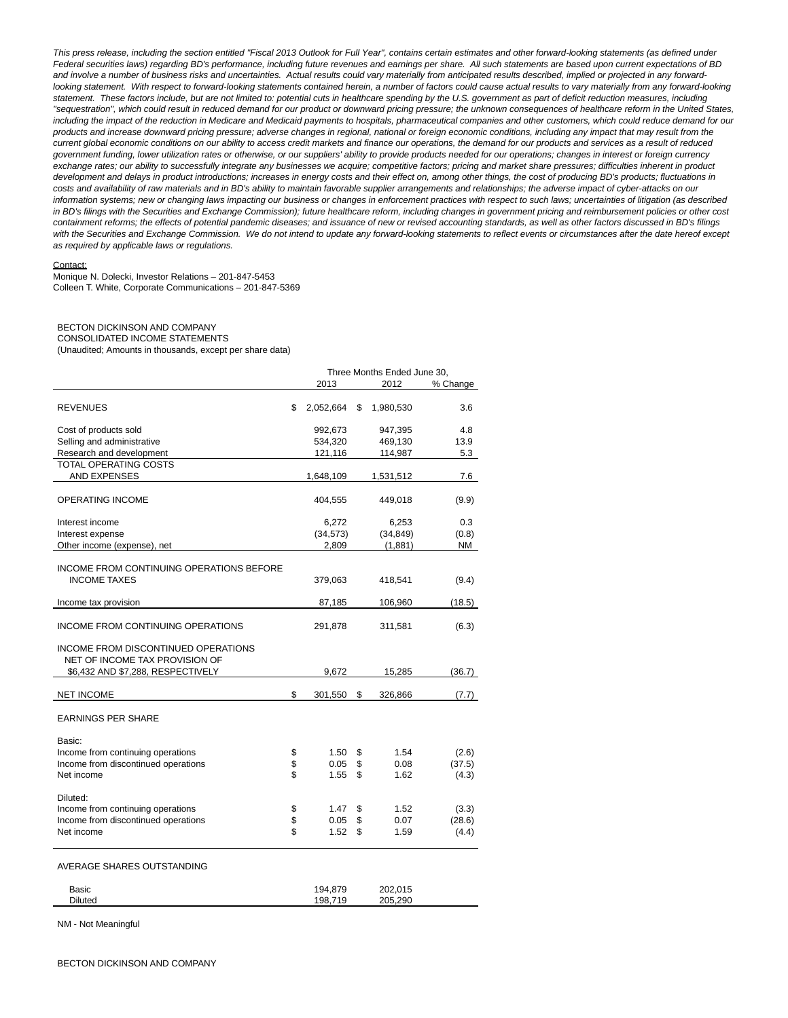This press release, including the section entitled "Fiscal 2013 Outlook for Full Year", contains certain estimates and other forward-looking statements (as defined under Federal securities laws) regarding BD's performance, including future revenues and earnings per share. All such statements are based upon current expectations of BD and involve a number of business risks and uncertainties. Actual results could vary materially from anticipated results described, implied or projected in any forwardlooking statement. With respect to forward-looking statements contained herein, a number of factors could cause actual results to vary materially from any forward-looking statement. These factors include, but are not limited to: potential cuts in healthcare spending by the U.S. government as part of deficit reduction measures, including "sequestration", which could result in reduced demand for our product or downward pricing pressure; the unknown consequences of healthcare reform in the United States, including the impact of the reduction in Medicare and Medicaid payments to hospitals, pharmaceutical companies and other customers, which could reduce demand for our products and increase downward pricing pressure; adverse changes in regional, national or foreign economic conditions, including any impact that may result from the current global economic conditions on our ability to access credit markets and finance our operations, the demand for our products and services as a result of reduced government funding, lower utilization rates or otherwise, or our suppliers' ability to provide products needed for our operations; changes in interest or foreign currency exchange rates; our ability to successfully integrate any businesses we acquire; competitive factors; pricing and market share pressures; difficulties inherent in product development and delays in product introductions; increases in energy costs and their effect on, among other things, the cost of producing BD's products; fluctuations in costs and availability of raw materials and in BD's ability to maintain favorable supplier arrangements and relationships; the adverse impact of cyber-attacks on our information systems; new or changing laws impacting our business or changes in enforcement practices with respect to such laws; uncertainties of litigation (as described in BD's filings with the Securities and Exchange Commission); future healthcare reform, including changes in government pricing and reimbursement policies or other cost containment reforms; the effects of potential pandemic diseases; and issuance of new or revised accounting standards, as well as other factors discussed in BD's filings with the Securities and Exchange Commission. We do not intend to update any forward-looking statements to reflect events or circumstances after the date hereof except as required by applicable laws or regulations.

#### Contact:

Monique N. Dolecki, Investor Relations – 201-847-5453 Colleen T. White, Corporate Communications – 201-847-5369

### BECTON DICKINSON AND COMPANY CONSOLIDATED INCOME STATEMENTS

(Unaudited; Amounts in thousands, except per share data)

|                                                                                                            | Three Months Ended June 30, |    |           |          |  |
|------------------------------------------------------------------------------------------------------------|-----------------------------|----|-----------|----------|--|
|                                                                                                            | 2013                        |    | 2012      | % Change |  |
| <b>REVENUES</b>                                                                                            | \$<br>2,052,664             | S  | 1,980,530 | 3.6      |  |
| Cost of products sold                                                                                      | 992,673                     |    | 947,395   | 4.8      |  |
| Selling and administrative                                                                                 | 534,320                     |    | 469,130   | 13.9     |  |
| Research and development                                                                                   | 121,116                     |    | 114,987   | 5.3      |  |
| TOTAL OPERATING COSTS                                                                                      |                             |    |           |          |  |
| AND EXPENSES                                                                                               | 1,648,109                   |    | 1,531,512 | 7.6      |  |
| <b>OPERATING INCOME</b>                                                                                    | 404,555                     |    | 449,018   | (9.9)    |  |
| Interest income                                                                                            | 6,272                       |    | 6,253     | 0.3      |  |
| Interest expense                                                                                           | (34, 573)                   |    | (34, 849) | (0.8)    |  |
| Other income (expense), net                                                                                | 2,809                       |    | (1,881)   | NM       |  |
| INCOME FROM CONTINUING OPERATIONS BEFORE<br><b>INCOME TAXES</b>                                            | 379,063                     |    | 418,541   | (9.4)    |  |
| Income tax provision                                                                                       | 87,185                      |    | 106,960   | (18.5)   |  |
| INCOME FROM CONTINUING OPERATIONS                                                                          | 291,878                     |    | 311,581   | (6.3)    |  |
| INCOME FROM DISCONTINUED OPERATIONS<br>NET OF INCOME TAX PROVISION OF<br>\$6,432 AND \$7,288, RESPECTIVELY | 9,672                       |    | 15,285    | (36.7)   |  |
|                                                                                                            |                             |    |           |          |  |
| <b>NET INCOME</b>                                                                                          | \$<br>301,550               | \$ | 326,866   | (7.7)    |  |
| <b>EARNINGS PER SHARE</b>                                                                                  |                             |    |           |          |  |
| Basic:                                                                                                     |                             |    |           |          |  |
| Income from continuing operations                                                                          | \$<br>1.50                  | \$ | 1.54      | (2.6)    |  |
| Income from discontinued operations                                                                        | \$<br>0.05                  | \$ | 0.08      | (37.5)   |  |
| Net income                                                                                                 | \$<br>1.55                  | \$ | 1.62      | (4.3)    |  |
| Diluted:                                                                                                   |                             |    |           |          |  |
| Income from continuing operations                                                                          | \$<br>1.47                  | \$ | 1.52      | (3.3)    |  |
| Income from discontinued operations                                                                        | \$<br>0.05                  | \$ | 0.07      | (28.6)   |  |
| Net income                                                                                                 | \$<br>1.52                  | \$ | 1.59      | (4.4)    |  |
| AVERAGE SHARES OUTSTANDING                                                                                 |                             |    |           |          |  |
| Basic                                                                                                      | 194,879                     |    | 202,015   |          |  |

Diluted 198,719 205,290

NM - Not Meaningful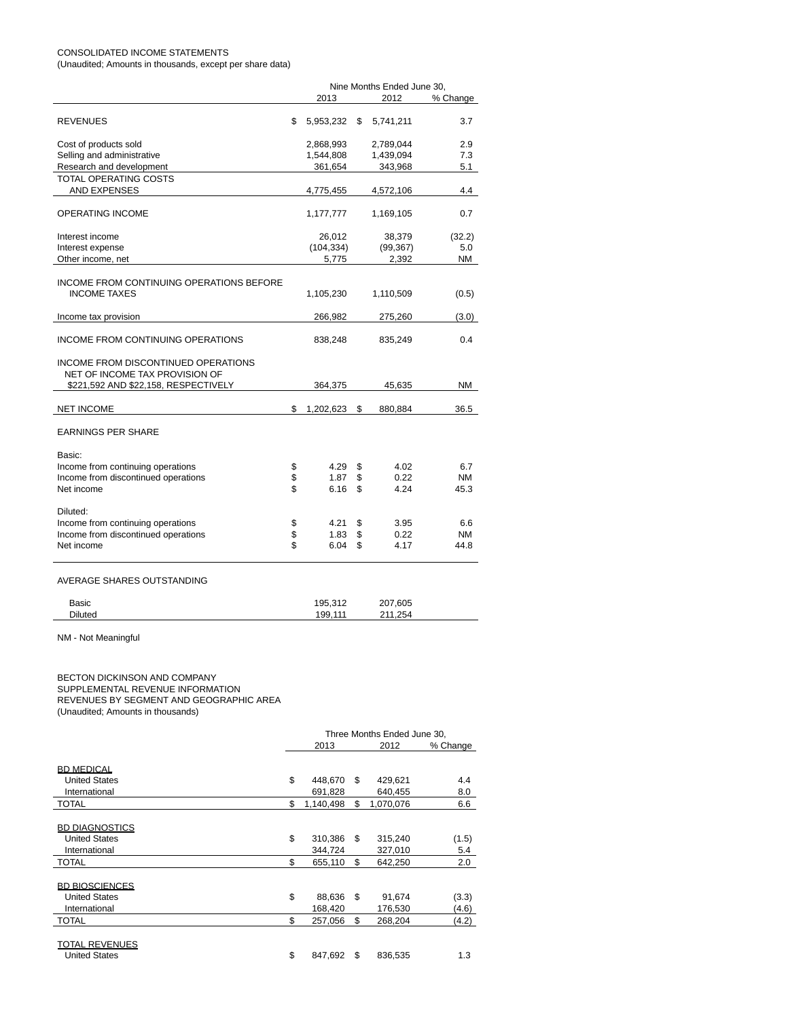# CONSOLIDATED INCOME STATEMENTS

(Unaudited; Amounts in thousands, except per share data)

|                                                                                                               | Nine Months Ended June 30, |    |           |           |  |  |
|---------------------------------------------------------------------------------------------------------------|----------------------------|----|-----------|-----------|--|--|
|                                                                                                               | 2013                       |    | 2012      | % Change  |  |  |
| <b>REVENUES</b>                                                                                               | \$<br>5,953,232            | \$ | 5,741,211 | 3.7       |  |  |
| Cost of products sold                                                                                         | 2,868,993                  |    | 2,789,044 | 2.9       |  |  |
| Selling and administrative                                                                                    | 1,544,808                  |    | 1,439,094 | 7.3       |  |  |
| Research and development                                                                                      | 361,654                    |    | 343,968   | 5.1       |  |  |
| TOTAL OPERATING COSTS                                                                                         |                            |    |           |           |  |  |
| AND EXPENSES                                                                                                  | 4,775,455                  |    | 4,572,106 | 4.4       |  |  |
| OPERATING INCOME                                                                                              | 1,177,777                  |    | 1,169,105 | 0.7       |  |  |
| Interest income                                                                                               | 26,012                     |    | 38,379    | (32.2)    |  |  |
| Interest expense                                                                                              | (104, 334)                 |    | (99, 367) | 5.0       |  |  |
| Other income, net                                                                                             | 5,775                      |    | 2,392     | ΝM        |  |  |
| INCOME FROM CONTINUING OPERATIONS BEFORE<br><b>INCOME TAXES</b>                                               | 1,105,230                  |    | 1,110,509 | (0.5)     |  |  |
| Income tax provision                                                                                          | 266,982                    |    | 275,260   | (3.0)     |  |  |
| INCOME FROM CONTINUING OPERATIONS                                                                             | 838,248                    |    | 835,249   | 0.4       |  |  |
| INCOME FROM DISCONTINUED OPERATIONS<br>NET OF INCOME TAX PROVISION OF<br>\$221,592 AND \$22,158, RESPECTIVELY | 364,375                    |    | 45,635    | <b>NM</b> |  |  |
|                                                                                                               |                            |    |           |           |  |  |
| <b>NET INCOME</b>                                                                                             | \$<br>1,202,623            | \$ | 880,884   | 36.5      |  |  |
| <b>EARNINGS PER SHARE</b>                                                                                     |                            |    |           |           |  |  |
| Basic:                                                                                                        |                            |    |           |           |  |  |
| Income from continuing operations                                                                             | \$<br>4.29                 | \$ | 4.02      | 6.7       |  |  |
| Income from discontinued operations                                                                           | \$<br>1.87                 | \$ | 0.22      | <b>NM</b> |  |  |
| Net income                                                                                                    | \$<br>6.16                 | \$ | 4.24      | 45.3      |  |  |
| Diluted:                                                                                                      |                            |    |           |           |  |  |
| Income from continuing operations                                                                             | \$<br>4.21                 | \$ | 3.95      | 6.6       |  |  |
| Income from discontinued operations                                                                           | \$<br>1.83                 | \$ | 0.22      | <b>NM</b> |  |  |
| Net income                                                                                                    | \$<br>6.04                 | \$ | 4.17      | 44.8      |  |  |
| AVERAGE SHARES OUTSTANDING                                                                                    |                            |    |           |           |  |  |
| Basic                                                                                                         | 195,312                    |    | 207,605   |           |  |  |
| Diluted                                                                                                       | 199,111                    |    | 211,254   |           |  |  |
|                                                                                                               |                            |    |           |           |  |  |

NM - Not Meaningful

BECTON DICKINSON AND COMPANY SUPPLEMENTAL REVENUE INFORMATION REVENUES BY SEGMENT AND GEOGRAPHIC AREA (Unaudited; Amounts in thousands)

|                       | Three Months Ended June 30, |           |    |           |          |  |
|-----------------------|-----------------------------|-----------|----|-----------|----------|--|
|                       |                             | 2013      |    | 2012      | % Change |  |
|                       |                             |           |    |           |          |  |
| <b>BD MEDICAL</b>     |                             |           |    |           |          |  |
| <b>United States</b>  | \$                          | 448,670   | \$ | 429,621   | 4.4      |  |
| International         |                             | 691,828   |    | 640,455   | 8.0      |  |
| <b>TOTAL</b>          | \$                          | 1,140,498 | \$ | 1,070,076 | 6.6      |  |
|                       |                             |           |    |           |          |  |
| <b>BD DIAGNOSTICS</b> |                             |           |    |           |          |  |
| <b>United States</b>  | \$                          | 310,386   | \$ | 315,240   | (1.5)    |  |
| International         |                             | 344,724   |    | 327,010   | 5.4      |  |
| <b>TOTAL</b>          | \$                          | 655,110   | \$ | 642,250   | 2.0      |  |
|                       |                             |           |    |           |          |  |
| <b>BD BIOSCIENCES</b> |                             |           |    |           |          |  |
| <b>United States</b>  | \$                          | 88,636    | \$ | 91,674    | (3.3)    |  |
| International         |                             | 168,420   |    | 176,530   | (4.6)    |  |
| <b>TOTAL</b>          | \$                          | 257,056   | \$ | 268,204   | (4.2)    |  |
|                       |                             |           |    |           |          |  |
| <b>TOTAL REVENUES</b> |                             |           |    |           |          |  |
| <b>United States</b>  | \$                          | 847,692   | \$ | 836,535   | 1.3      |  |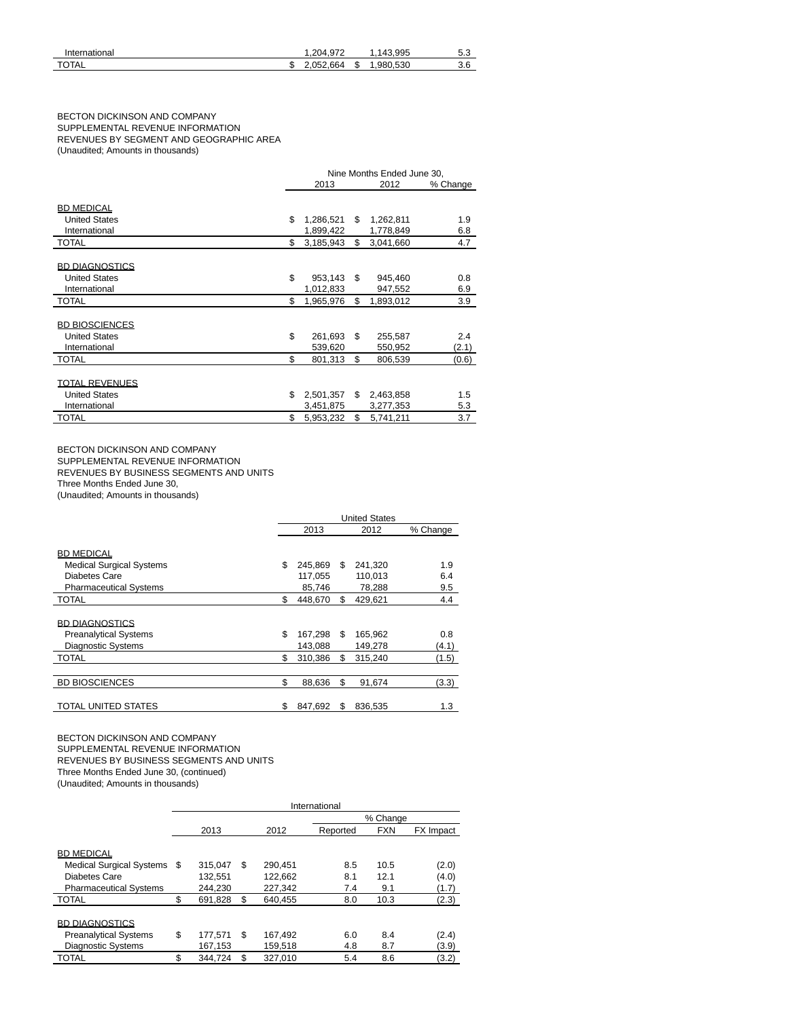| International | 972<br>204 |    | .995<br>43 | 5.c       |
|---------------|------------|----|------------|-----------|
| <b>TOTAL</b>  | .052.664   | ۰D | .980.530   | ∽.<br>ა.c |

## BECTON DICKINSON AND COMPANY SUPPLEMENTAL REVENUE INFORMATION REVENUES BY SEGMENT AND GEOGRAPHIC AREA (Unaudited; Amounts in thousands)

|                       | Nine Months Ended June 30, |           |     |           |          |  |  |
|-----------------------|----------------------------|-----------|-----|-----------|----------|--|--|
|                       |                            | 2013      |     | 2012      | % Change |  |  |
| <b>BD MEDICAL</b>     |                            |           |     |           |          |  |  |
| <b>United States</b>  | \$                         | 1,286,521 | S   | 1,262,811 | 1.9      |  |  |
| International         |                            | 1,899,422 |     | 1,778,849 | 6.8      |  |  |
| <b>TOTAL</b>          | \$                         | 3,185,943 | \$  | 3,041,660 | 4.7      |  |  |
|                       |                            |           |     |           |          |  |  |
| <b>BD DIAGNOSTICS</b> |                            |           |     |           |          |  |  |
| <b>United States</b>  | \$                         | 953,143   | \$  | 945,460   | 0.8      |  |  |
| International         |                            | 1,012,833 |     | 947,552   | 6.9      |  |  |
| <b>TOTAL</b>          | \$                         | 1,965,976 | \$  | 1,893,012 | 3.9      |  |  |
|                       |                            |           |     |           |          |  |  |
| <b>BD BIOSCIENCES</b> |                            |           |     |           |          |  |  |
| <b>United States</b>  | \$                         | 261,693   | \$. | 255,587   | 2.4      |  |  |
| International         |                            | 539,620   |     | 550,952   | (2.1)    |  |  |
| <b>TOTAL</b>          | \$                         | 801,313   | \$  | 806,539   | (0.6)    |  |  |
|                       |                            |           |     |           |          |  |  |
| <b>TOTAL REVENUES</b> |                            |           |     |           |          |  |  |
| <b>United States</b>  | \$                         | 2,501,357 | \$. | 2,463,858 | 1.5      |  |  |
| International         |                            | 3,451,875 |     | 3,277,353 | 5.3      |  |  |
| <b>TOTAL</b>          | \$                         | 5,953,232 | \$  | 5,741,211 | 3.7      |  |  |

BECTON DICKINSON AND COMPANY SUPPLEMENTAL REVENUE INFORMATION REVENUES BY BUSINESS SEGMENTS AND UNITS

Three Months Ended June 30,

(Unaudited; Amounts in thousands)

|                                 | <b>United States</b> |         |    |         |          |  |
|---------------------------------|----------------------|---------|----|---------|----------|--|
|                                 | 2013                 |         |    | 2012    | % Change |  |
| <b>BD MEDICAL</b>               |                      |         |    |         |          |  |
| <b>Medical Surgical Systems</b> | \$                   | 245,869 | \$ | 241,320 | 1.9      |  |
| Diabetes Care                   |                      | 117,055 |    | 110,013 | 6.4      |  |
| <b>Pharmaceutical Systems</b>   |                      | 85,746  |    | 78,288  | 9.5      |  |
| <b>TOTAL</b>                    | \$                   | 448,670 | \$ | 429.621 | 4.4      |  |
| <b>BD DIAGNOSTICS</b>           |                      |         |    |         |          |  |
| <b>Preanalytical Systems</b>    | \$                   | 167,298 | \$ | 165,962 | 0.8      |  |
| <b>Diagnostic Systems</b>       |                      | 143,088 |    | 149,278 | (4.1)    |  |
| <b>TOTAL</b>                    | \$                   | 310,386 | \$ | 315,240 | (1.5)    |  |
|                                 |                      |         |    |         |          |  |
| <b>BD BIOSCIENCES</b>           | \$                   | 88,636  | \$ | 91,674  | (3.3)    |  |
| <b>TOTAL UNITED STATES</b>      | \$                   | 847.692 | S  | 836.535 | 1.3      |  |

BECTON DICKINSON AND COMPANY SUPPLEMENTAL REVENUE INFORMATION REVENUES BY BUSINESS SEGMENTS AND UNITS Three Months Ended June 30, (continued) (Unaudited; Amounts in thousands)

|                                 | International |         |     |         |          |            |           |  |  |  |  |
|---------------------------------|---------------|---------|-----|---------|----------|------------|-----------|--|--|--|--|
|                                 |               |         |     |         | % Change |            |           |  |  |  |  |
|                                 |               | 2013    |     | 2012    | Reported | <b>FXN</b> | FX Impact |  |  |  |  |
|                                 |               |         |     |         |          |            |           |  |  |  |  |
| <b>BD MEDICAL</b>               |               |         |     |         |          |            |           |  |  |  |  |
| <b>Medical Surgical Systems</b> | -S            | 315.047 | \$  | 290.451 | 8.5      | 10.5       | (2.0)     |  |  |  |  |
| Diabetes Care                   |               | 132.551 |     | 122,662 | 8.1      | 12.1       | (4.0)     |  |  |  |  |
| <b>Pharmaceutical Systems</b>   |               | 244.230 |     | 227,342 | 7.4      | 9.1        | (1.7)     |  |  |  |  |
| <b>TOTAL</b>                    | \$            | 691.828 | \$  | 640.455 | 8.0      | 10.3       | (2.3)     |  |  |  |  |
|                                 |               |         |     |         |          |            |           |  |  |  |  |
| <b>BD DIAGNOSTICS</b>           |               |         |     |         |          |            |           |  |  |  |  |
| <b>Preanalytical Systems</b>    | \$            | 177.571 | \$  | 167,492 | 6.0      | 8.4        | (2.4)     |  |  |  |  |
| <b>Diagnostic Systems</b>       |               | 167,153 |     | 159,518 | 4.8      | 8.7        | (3.9)     |  |  |  |  |
| <b>TOTAL</b>                    |               | 344.724 | \$. | 327.010 | 5.4      | 8.6        | (3.2)     |  |  |  |  |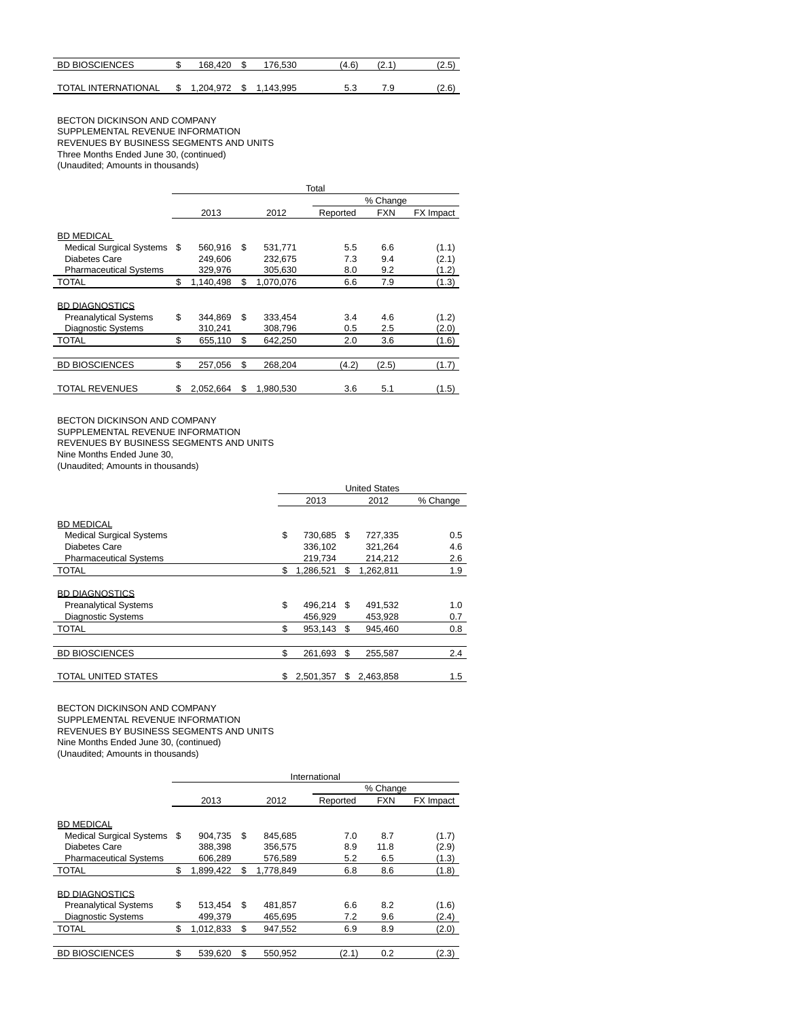| <b>BD BIOSCIENCES</b>      | 168.420   | 76.530  | (4.6) | .   | (2.5) |
|----------------------------|-----------|---------|-------|-----|-------|
|                            |           |         |       |     |       |
| <b>TOTAL INTERNATIONAL</b> | . 204.972 | 143.995 |       | 7.9 | (2.6) |

BECTON DICKINSON AND COMPANY SUPPLEMENTAL REVENUE INFORMATION REVENUES BY BUSINESS SEGMENTS AND UNITS Three Months Ended June 30, (continued) (Unaudited; Amounts in thousands)

|                                 | Total |           |    |           |          |            |           |  |  |  |
|---------------------------------|-------|-----------|----|-----------|----------|------------|-----------|--|--|--|
|                                 |       |           |    |           |          | % Change   |           |  |  |  |
|                                 |       | 2013      |    | 2012      | Reported | <b>FXN</b> | FX Impact |  |  |  |
|                                 |       |           |    |           |          |            |           |  |  |  |
| <b>BD MEDICAL</b>               |       |           |    |           |          |            |           |  |  |  |
| <b>Medical Surgical Systems</b> | S     | 560,916   | \$ | 531,771   | 5.5      | 6.6        | (1.1)     |  |  |  |
| Diabetes Care                   |       | 249.606   |    | 232.675   | 7.3      | 9.4        | (2.1)     |  |  |  |
| <b>Pharmaceutical Systems</b>   |       | 329,976   |    | 305,630   | 8.0      | 9.2        | (1.2)     |  |  |  |
| <b>TOTAL</b>                    | \$    | 1,140,498 | \$ | 1,070,076 | 6.6      | 7.9        | (1.3)     |  |  |  |
|                                 |       |           |    |           |          |            |           |  |  |  |
| <b>BD DIAGNOSTICS</b>           |       |           |    |           |          |            |           |  |  |  |
| <b>Preanalytical Systems</b>    | \$    | 344.869   | \$ | 333,454   | 3.4      | 4.6        | (1.2)     |  |  |  |
| Diagnostic Systems              |       | 310,241   |    | 308,796   | 0.5      | 2.5        | (2.0)     |  |  |  |
| <b>TOTAL</b>                    | \$    | 655,110   | \$ | 642.250   | 2.0      | 3.6        | (1.6)     |  |  |  |
|                                 |       |           |    |           |          |            |           |  |  |  |
| <b>BD BIOSCIENCES</b>           | \$    | 257.056   | \$ | 268.204   | (4.2)    | (2.5)      | (1.7)     |  |  |  |
|                                 |       |           |    |           |          |            |           |  |  |  |
| <b>TOTAL REVENUES</b>           | \$    | 2.052.664 | \$ | 1.980.530 | 3.6      | 5.1        | (1.5)     |  |  |  |

BECTON DICKINSON AND COMPANY

SUPPLEMENTAL REVENUE INFORMATION REVENUES BY BUSINESS SEGMENTS AND UNITS

Nine Months Ended June 30,

(Unaudited; Amounts in thousands)

|                                 | <b>United States</b> |            |    |           |          |  |
|---------------------------------|----------------------|------------|----|-----------|----------|--|
|                                 |                      | 2013       |    | 2012      | % Change |  |
| <b>BD MEDICAL</b>               |                      |            |    |           |          |  |
| <b>Medical Surgical Systems</b> | \$                   | 730,685    | \$ | 727,335   | 0.5      |  |
| Diabetes Care                   |                      | 336,102    |    | 321,264   | 4.6      |  |
| <b>Pharmaceutical Systems</b>   |                      | 219.734    |    | 214,212   | 2.6      |  |
| <b>TOTAL</b>                    | \$                   | 1,286,521  | \$ | 1,262,811 | 1.9      |  |
| <b>BD DIAGNOSTICS</b>           |                      |            |    |           |          |  |
| <b>Preanalytical Systems</b>    | \$                   | 496,214 \$ |    | 491,532   | 1.0      |  |
| <b>Diagnostic Systems</b>       |                      | 456.929    |    | 453.928   | 0.7      |  |
| <b>TOTAL</b>                    | \$                   | 953,143 \$ |    | 945.460   | 0.8      |  |
|                                 |                      |            |    |           |          |  |
| <b>BD BIOSCIENCES</b>           | \$                   | 261,693    | \$ | 255,587   | 2.4      |  |
| <b>TOTAL UNITED STATES</b>      | \$                   | 2,501,357  | S  | 2,463,858 | 1.5      |  |

BECTON DICKINSON AND COMPANY SUPPLEMENTAL REVENUE INFORMATION REVENUES BY BUSINESS SEGMENTS AND UNITS Nine Months Ended June 30, (continued) (Unaudited; Amounts in thousands)

|                               | International |           |    |           |          |            |                  |  |  |  |  |
|-------------------------------|---------------|-----------|----|-----------|----------|------------|------------------|--|--|--|--|
|                               |               |           |    |           | % Change |            |                  |  |  |  |  |
|                               |               | 2013      |    | 2012      | Reported | <b>FXN</b> | <b>FX</b> Impact |  |  |  |  |
|                               |               |           |    |           |          |            |                  |  |  |  |  |
| <b>BD MEDICAL</b>             |               |           |    |           |          |            |                  |  |  |  |  |
| Medical Surgical Systems \$   |               | 904.735   | \$ | 845.685   | 7.0      | 8.7        | (1.7)            |  |  |  |  |
| Diabetes Care                 |               | 388,398   |    | 356,575   | 8.9      | 11.8       | (2.9)            |  |  |  |  |
| <b>Pharmaceutical Systems</b> |               | 606.289   |    | 576.589   | 5.2      | 6.5        | (1.3)            |  |  |  |  |
| <b>TOTAL</b>                  | \$            | 1.899.422 | \$ | 1.778.849 | 6.8      | 8.6        | (1.8)            |  |  |  |  |
|                               |               |           |    |           |          |            |                  |  |  |  |  |
| <b>BD DIAGNOSTICS</b>         |               |           |    |           |          |            |                  |  |  |  |  |
| <b>Preanalytical Systems</b>  | \$            | 513.454   | \$ | 481,857   | 6.6      | 8.2        | (1.6)            |  |  |  |  |
| <b>Diagnostic Systems</b>     |               | 499.379   |    | 465.695   | 7.2      | 9.6        | (2.4)            |  |  |  |  |
| <b>TOTAL</b>                  | \$            | 1,012,833 | \$ | 947.552   | 6.9      | 8.9        | (2.0)            |  |  |  |  |
|                               |               |           |    |           |          |            |                  |  |  |  |  |
| <b>BD BIOSCIENCES</b>         | \$            | 539,620   | \$ | 550.952   | (2.1)    | 0.2        | (2.3)            |  |  |  |  |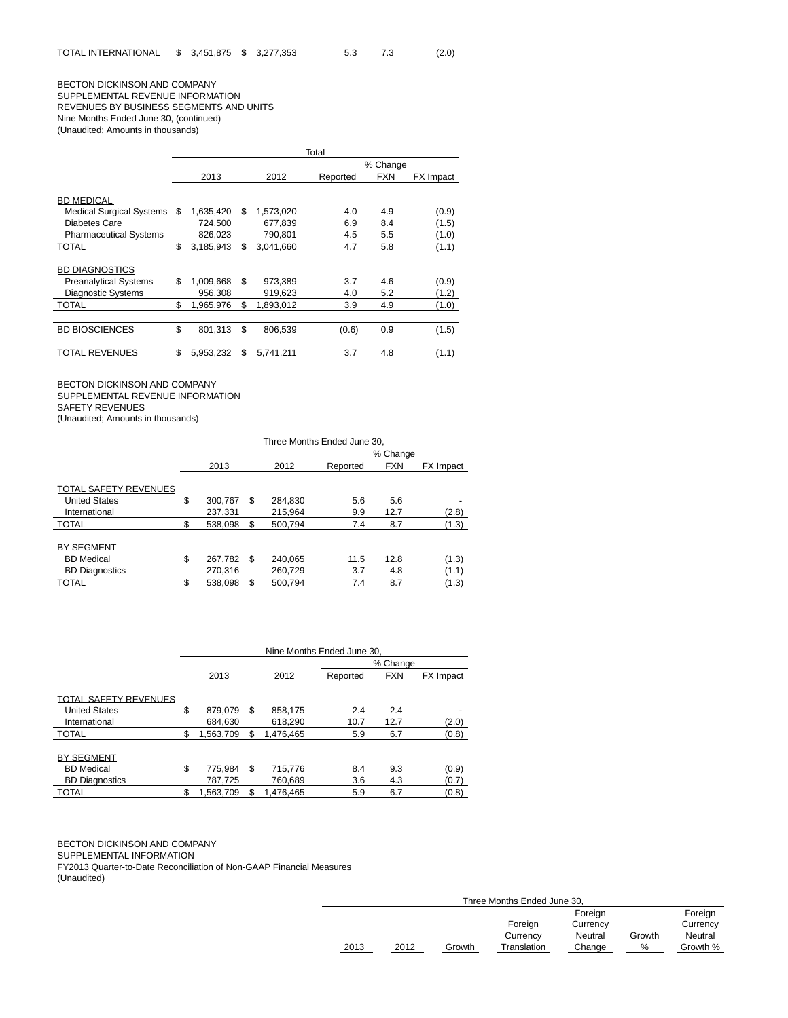# BECTON DICKINSON AND COMPANY SUPPLEMENTAL REVENUE INFORMATION REVENUES BY BUSINESS SEGMENTS AND UNITS Nine Months Ended June 30, (continued) (Unaudited; Amounts in thousands)

|                                 | Total |           |    |           |          |            |           |  |  |  |
|---------------------------------|-------|-----------|----|-----------|----------|------------|-----------|--|--|--|
|                                 |       |           |    |           |          | % Change   |           |  |  |  |
|                                 |       | 2013      |    | 2012      | Reported | <b>FXN</b> | FX Impact |  |  |  |
|                                 |       |           |    |           |          |            |           |  |  |  |
| <b>BD MEDICAL</b>               |       |           |    |           |          |            |           |  |  |  |
| <b>Medical Surgical Systems</b> | \$.   | 1.635.420 | S  | 1.573.020 | 4.0      | 4.9        | (0.9)     |  |  |  |
| Diabetes Care                   |       | 724.500   |    | 677.839   | 6.9      | 8.4        | (1.5)     |  |  |  |
| <b>Pharmaceutical Systems</b>   |       | 826.023   |    | 790.801   | 4.5      | 5.5        | (1.0)     |  |  |  |
| <b>TOTAL</b>                    | \$    | 3,185,943 | \$ | 3,041,660 | 4.7      | 5.8        | (1.1)     |  |  |  |
|                                 |       |           |    |           |          |            |           |  |  |  |
| <b>BD DIAGNOSTICS</b>           |       |           |    |           |          |            |           |  |  |  |
| <b>Preanalytical Systems</b>    | \$    | 1,009,668 | \$ | 973,389   | 3.7      | 4.6        | (0.9)     |  |  |  |
| <b>Diagnostic Systems</b>       |       | 956.308   |    | 919,623   | 4.0      | 5.2        | (1.2)     |  |  |  |
| TOTAL                           | \$    | 1.965.976 | \$ | 1.893.012 | 3.9      | 4.9        | (1.0)     |  |  |  |
|                                 |       |           |    |           |          |            |           |  |  |  |
| <b>BD BIOSCIENCES</b>           | \$    | 801,313   | \$ | 806,539   | (0.6)    | 0.9        | (1.5)     |  |  |  |
|                                 |       |           |    |           |          |            |           |  |  |  |
| TOTAL REVENUES                  | \$    | 5.953.232 | S  | 5.741.211 | 3.7      | 4.8        | (1.1)     |  |  |  |

BECTON DICKINSON AND COMPANY SUPPLEMENTAL REVENUE INFORMATION SAFETY REVENUES

(Unaudited; Amounts in thousands)

|                              | Three Months Ended June 30. |         |     |         |          |            |           |  |
|------------------------------|-----------------------------|---------|-----|---------|----------|------------|-----------|--|
|                              |                             |         |     |         |          | % Change   |           |  |
|                              |                             | 2013    |     | 2012    | Reported | <b>FXN</b> | FX Impact |  |
| <b>TOTAL SAFETY REVENUES</b> |                             |         |     |         |          |            |           |  |
| <b>United States</b>         | \$                          | 300,767 | S   | 284,830 | 5.6      | 5.6        |           |  |
| International                |                             | 237,331 |     | 215.964 | 9.9      | 12.7       | (2.8)     |  |
| <b>TOTAL</b>                 | \$                          | 538,098 | \$  | 500,794 | 7.4      | 8.7        | (1.3)     |  |
| <b>BY SEGMENT</b>            |                             |         |     |         |          |            |           |  |
| <b>BD</b> Medical            | \$                          | 267,782 | \$. | 240,065 | 11.5     | 12.8       | (1.3)     |  |
| <b>BD Diagnostics</b>        |                             | 270,316 |     | 260.729 | 3.7      | 4.8        | (1.1)     |  |
| <b>TOTAL</b>                 |                             | 538.098 | \$  | 500.794 | 7.4      | 8.7        | (1.3)     |  |

|                               | Nine Months Ended June 30. |                      |    |                      |             |             |                  |  |
|-------------------------------|----------------------------|----------------------|----|----------------------|-------------|-------------|------------------|--|
|                               |                            |                      |    |                      | % Change    |             |                  |  |
|                               |                            | 2013                 |    | 2012                 | Reported    | <b>FXN</b>  | <b>FX</b> Impact |  |
| <b>TOTAL SAFETY REVENUES</b>  |                            |                      |    |                      |             |             |                  |  |
| <b>United States</b>          | \$                         | 879.079              | S  | 858,175              | 2.4         | 2.4         |                  |  |
| International<br><b>TOTAL</b> | \$                         | 684.630<br>1,563,709 | S  | 618,290<br>1.476.465 | 10.7<br>5.9 | 12.7<br>6.7 | (2.0)<br>(0.8)   |  |
|                               |                            |                      |    |                      |             |             |                  |  |
| <b>BY SEGMENT</b>             |                            |                      |    |                      |             |             |                  |  |
| <b>BD</b> Medical             | \$                         | 775,984              | \$ | 715.776              | 8.4         | 9.3         | (0.9)            |  |
| <b>BD Diagnostics</b>         |                            | 787,725              |    | 760,689              | 3.6         | 4.3         | (0.7)            |  |
| <b>TOTAL</b>                  | S                          | 1.563.709            | S  | 1,476,465            | 5.9         | 6.7         | (0.8)            |  |

 $\overline{\phantom{0}}$ 

BECTON DICKINSON AND COMPANY

SUPPLEMENTAL INFORMATION

FY2013 Quarter-to-Date Reconciliation of Non-GAAP Financial Measures (Unaudited)

| Three Months Ended June 30, |      |        |             |          |        |          |  |  |
|-----------------------------|------|--------|-------------|----------|--------|----------|--|--|
|                             |      |        |             | Foreign  |        | Foreign  |  |  |
|                             |      |        | Foreign     | Currency |        | Currency |  |  |
|                             |      |        | Currency    | Neutral  | Growth | Neutral  |  |  |
| 2013                        | 2012 | Growth | Translation | Change   | %      | Growth % |  |  |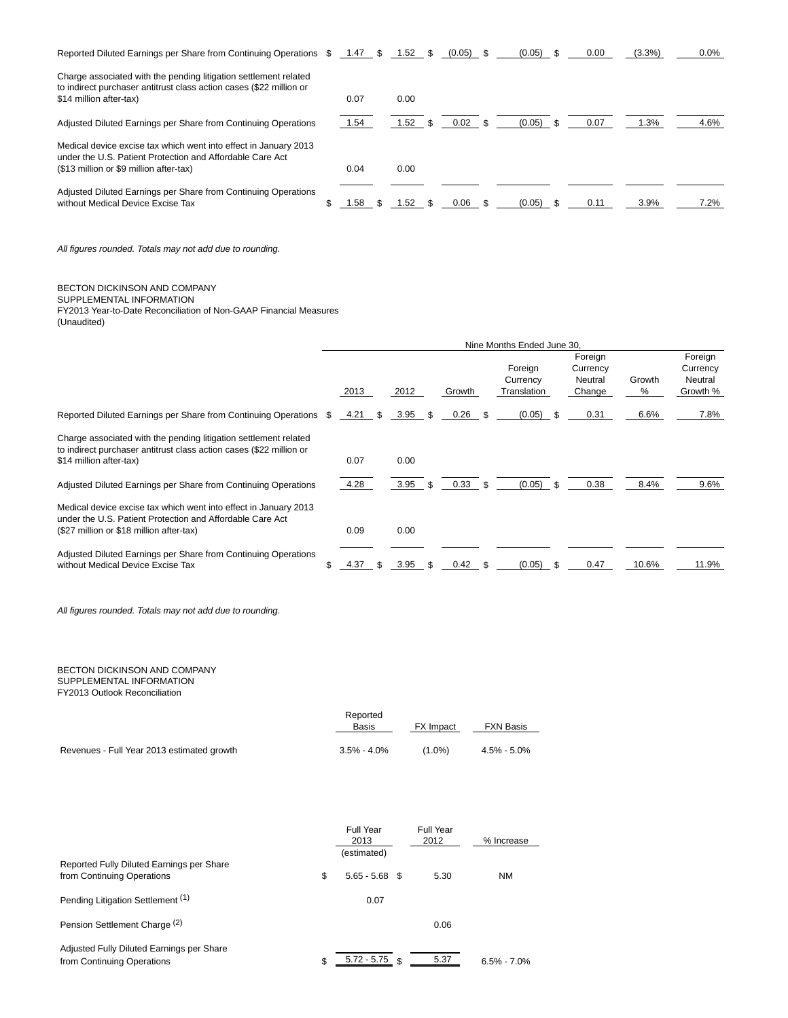| Reported Diluted Earnings per Share from Continuing Operations \$ 1.47 \$                                                               |      | $1.52$ \$ | $(0.05)$ \$ | $(0.05)$ \$ | 0.00 | $(3.3\%)$ | $0.0\%$ |
|-----------------------------------------------------------------------------------------------------------------------------------------|------|-----------|-------------|-------------|------|-----------|---------|
| Charge associated with the pending litigation settlement related<br>to indirect purchaser antitrust class action cases (\$22 million or |      |           |             |             |      |           |         |
| \$14 million after-tax)                                                                                                                 | 0.07 | 0.00      |             |             |      |           |         |
| Adjusted Diluted Earnings per Share from Continuing Operations                                                                          | 1.54 | 1.52      | 0.02        | $(0.05)$ \$ | 0.07 | 1.3%      | 4.6%    |
| Medical device excise tax which went into effect in January 2013<br>under the U.S. Patient Protection and Affordable Care Act           |      |           |             |             |      |           |         |
| (\$13 million or \$9 million after-tax)                                                                                                 | 0.04 | 0.00      |             |             |      |           |         |
| Adjusted Diluted Earnings per Share from Continuing Operations<br>without Medical Device Excise Tax                                     | 1.58 | 1.52      | 0.06        | $(0.05)$ \$ | 0.11 | 3.9%      | 7.2%    |

All figures rounded. Totals may not add due to rounding.

# BECTON DICKINSON AND COMPANY

SUPPLEMENTAL INFORMATION FY2013 Year-to-Date Reconciliation of Non-GAAP Financial Measures (Unaudited)

|                                                                                                                                                                           | Nine Months Ended June 30. |         |  |      |      |        |      |                                    |                                          |             |                                            |
|---------------------------------------------------------------------------------------------------------------------------------------------------------------------------|----------------------------|---------|--|------|------|--------|------|------------------------------------|------------------------------------------|-------------|--------------------------------------------|
|                                                                                                                                                                           |                            | 2013    |  | 2012 |      | Growth |      | Foreign<br>Currency<br>Translation | Foreign<br>Currency<br>Neutral<br>Change | Growth<br>% | Foreign<br>Currency<br>Neutral<br>Growth % |
| Reported Diluted Earnings per Share from Continuing Operations \$                                                                                                         |                            | 4.21 \$ |  | 3.95 | - \$ | 0.26   |      | (0.05)                             | 0.31                                     | 6.6%        | 7.8%                                       |
| Charge associated with the pending litigation settlement related<br>to indirect purchaser antitrust class action cases (\$22 million or<br>\$14 million after-tax)        |                            | 0.07    |  | 0.00 |      |        |      |                                    |                                          |             |                                            |
| Adjusted Diluted Earnings per Share from Continuing Operations                                                                                                            |                            | 4.28    |  | 3.95 | . ጽ  | 0.33   | - \$ | (0.05)                             | 0.38                                     | 8.4%        | 9.6%                                       |
| Medical device excise tax which went into effect in January 2013<br>under the U.S. Patient Protection and Affordable Care Act<br>(\$27 million or \$18 million after-tax) |                            | 0.09    |  | 0.00 |      |        |      |                                    |                                          |             |                                            |
| Adjusted Diluted Earnings per Share from Continuing Operations<br>without Medical Device Excise Tax                                                                       |                            | 4.37    |  | 3.95 |      | 0.42   |      | (0.05)                             | 0.47                                     | 10.6%       | 11.9%                                      |

All figures rounded. Totals may not add due to rounding.

# BECTON DICKINSON AND COMPANY SUPPLEMENTAL INFORMATION

FY2013 Outlook Reconciliation

|                                            | Reported<br>Basis | FX Impact | <b>FXN Basis</b> |
|--------------------------------------------|-------------------|-----------|------------------|
| Revenues - Full Year 2013 estimated growth | $3.5\% - 4.0\%$   | $(1.0\%)$ | 4.5% - 5.0%      |

|                                                                         | Full Year<br>2013      | Full Year<br>2012 | % Increase      |
|-------------------------------------------------------------------------|------------------------|-------------------|-----------------|
| Reported Fully Diluted Earnings per Share                               | (estimated)            |                   |                 |
| from Continuing Operations                                              | \$<br>$5.65 - 5.68$ \$ | 5.30              | <b>NM</b>       |
| Pending Litigation Settlement <sup>(1)</sup>                            | 0.07                   |                   |                 |
| Pension Settlement Charge <sup>(2)</sup>                                |                        | 0.06              |                 |
| Adjusted Fully Diluted Earnings per Share<br>from Continuing Operations | \$<br>$5.72 - 5.75$ \$ | 5.37              | $6.5\% - 7.0\%$ |